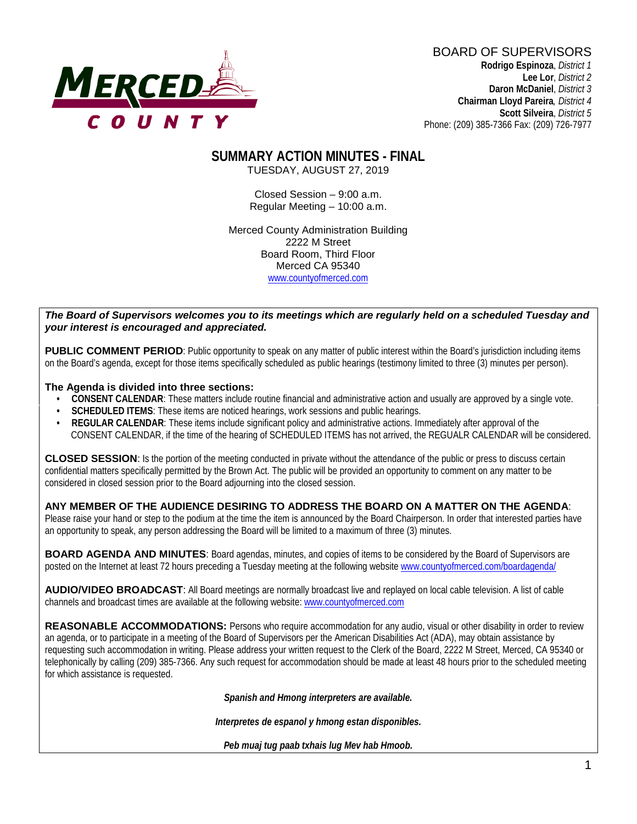

BOARD OF SUPERVISORS **Rodrigo Espinoza**, *District 1*  **Lee Lor**, *District 2*  **Daron McDaniel**, *District 3* **Chairman Lloyd Pareira***, District 4*  **Scott Silveira**, *District 5* Phone: (209) 385-7366 Fax: (209) 726-7977

## **SUMMARY ACTION MINUTES - FINAL**

TUESDAY, AUGUST 27, 2019

Closed Session – 9:00 a.m. Regular Meeting – 10:00 a.m.

Merced County Administration Building 2222 M Street Board Room, Third Floor Merced CA 95340 www.countyofmerced.com

#### *The Board of Supervisors welcomes you to its meetings which are regularly held on a scheduled Tuesday and your interest is encouraged and appreciated.*

**PUBLIC COMMENT PERIOD:** Public opportunity to speak on any matter of public interest within the Board's jurisdiction including items on the Board's agenda, except for those items specifically scheduled as public hearings (testimony limited to three (3) minutes per person).

#### **The Agenda is divided into three sections:**

- **CONSENT CALENDAR**: These matters include routine financial and administrative action and usually are approved by a single vote.
- **SCHEDULED ITEMS:** These items are noticed hearings, work sessions and public hearings.
- **REGULAR CALENDAR**: These items include significant policy and administrative actions. Immediately after approval of the CONSENT CALENDAR, if the time of the hearing of SCHEDULED ITEMS has not arrived, the REGUALR CALENDAR will be considered.

**CLOSED SESSION**: Is the portion of the meeting conducted in private without the attendance of the public or press to discuss certain confidential matters specifically permitted by the Brown Act. The public will be provided an opportunity to comment on any matter to be considered in closed session prior to the Board adjourning into the closed session.

#### **ANY MEMBER OF THE AUDIENCE DESIRING TO ADDRESS THE BOARD ON A MATTER ON THE AGENDA**:

Please raise your hand or step to the podium at the time the item is announced by the Board Chairperson. In order that interested parties have an opportunity to speak, any person addressing the Board will be limited to a maximum of three (3) minutes.

**BOARD AGENDA AND MINUTES:** Board agendas, minutes, and copies of items to be considered by the Board of Supervisors are posted on the Internet at least 72 hours preceding a Tuesday meeting at the following website [www.countyofmerced.com/boardagenda/](http://www.countyofmerced.com/boardagenda/) 

**AUDIO/VIDEO BROADCAST**: All Board meetings are normally broadcast live and replayed on local cable television. A list of cable channels and broadcast times are available at the following website[: www.countyofmerced.com](http://www.countyofmerced.com/)

**REASONABLE ACCOMMODATIONS:** Persons who require accommodation for any audio, visual or other disability in order to review an agenda, or to participate in a meeting of the Board of Supervisors per the American Disabilities Act (ADA), may obtain assistance by requesting such accommodation in writing. Please address your written request to the Clerk of the Board, 2222 M Street, Merced, CA 95340 or telephonically by calling (209) 385-7366. Any such request for accommodation should be made at least 48 hours prior to the scheduled meeting for which assistance is requested.

*Spanish and Hmong interpreters are available.*

*Interpretes de espanol y hmong estan disponibles.*

*Peb muaj tug paab txhais lug Mev hab Hmoob.*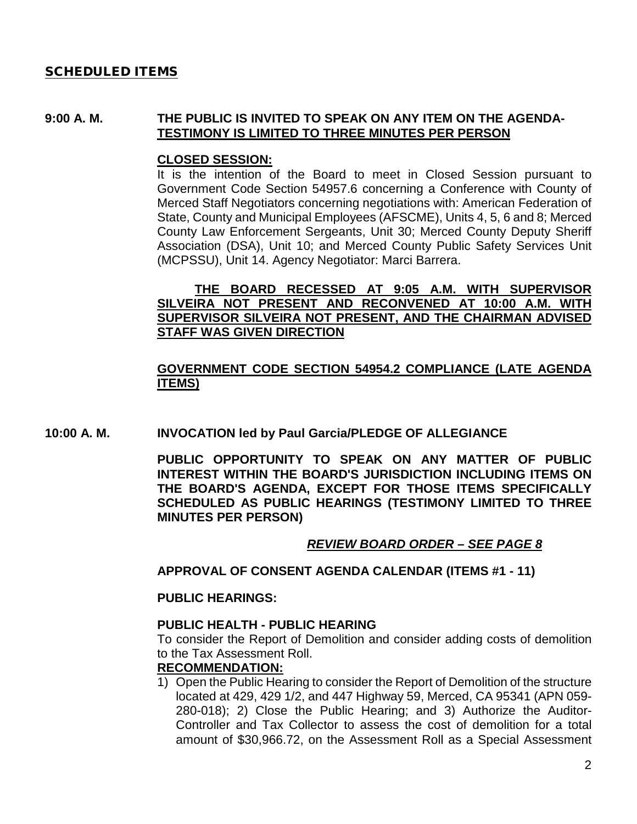#### SCHEDULED ITEMS

#### **9:00 A. M. THE PUBLIC IS INVITED TO SPEAK ON ANY ITEM ON THE AGENDA-TESTIMONY IS LIMITED TO THREE MINUTES PER PERSON**

#### **CLOSED SESSION:**

It is the intention of the Board to meet in Closed Session pursuant to Government Code Section 54957.6 concerning a Conference with County of Merced Staff Negotiators concerning negotiations with: American Federation of State, County and Municipal Employees (AFSCME), Units 4, 5, 6 and 8; Merced County Law Enforcement Sergeants, Unit 30; Merced County Deputy Sheriff Association (DSA), Unit 10; and Merced County Public Safety Services Unit (MCPSSU), Unit 14. Agency Negotiator: Marci Barrera.

#### **THE BOARD RECESSED AT 9:05 A.M. WITH SUPERVISOR SILVEIRA NOT PRESENT AND RECONVENED AT 10:00 A.M. WITH SUPERVISOR SILVEIRA NOT PRESENT, AND THE CHAIRMAN ADVISED STAFF WAS GIVEN DIRECTION**

#### **GOVERNMENT CODE SECTION 54954.2 COMPLIANCE (LATE AGENDA ITEMS)**

**10:00 A. M. INVOCATION led by Paul Garcia/PLEDGE OF ALLEGIANCE**

**PUBLIC OPPORTUNITY TO SPEAK ON ANY MATTER OF PUBLIC INTEREST WITHIN THE BOARD'S JURISDICTION INCLUDING ITEMS ON THE BOARD'S AGENDA, EXCEPT FOR THOSE ITEMS SPECIFICALLY SCHEDULED AS PUBLIC HEARINGS (TESTIMONY LIMITED TO THREE MINUTES PER PERSON)**

#### *REVIEW BOARD ORDER – SEE PAGE 8*

**APPROVAL OF CONSENT AGENDA CALENDAR (ITEMS #1 - 11)**

#### **PUBLIC HEARINGS:**

#### **PUBLIC HEALTH - PUBLIC HEARING**

To consider the Report of Demolition and consider adding costs of demolition to the Tax Assessment Roll.

#### **RECOMMENDATION:**

1) Open the Public Hearing to consider the Report of Demolition of the structure located at 429, 429 1/2, and 447 Highway 59, Merced, CA 95341 (APN 059- 280-018); 2) Close the Public Hearing; and 3) Authorize the Auditor-Controller and Tax Collector to assess the cost of demolition for a total amount of \$30,966.72, on the Assessment Roll as a Special Assessment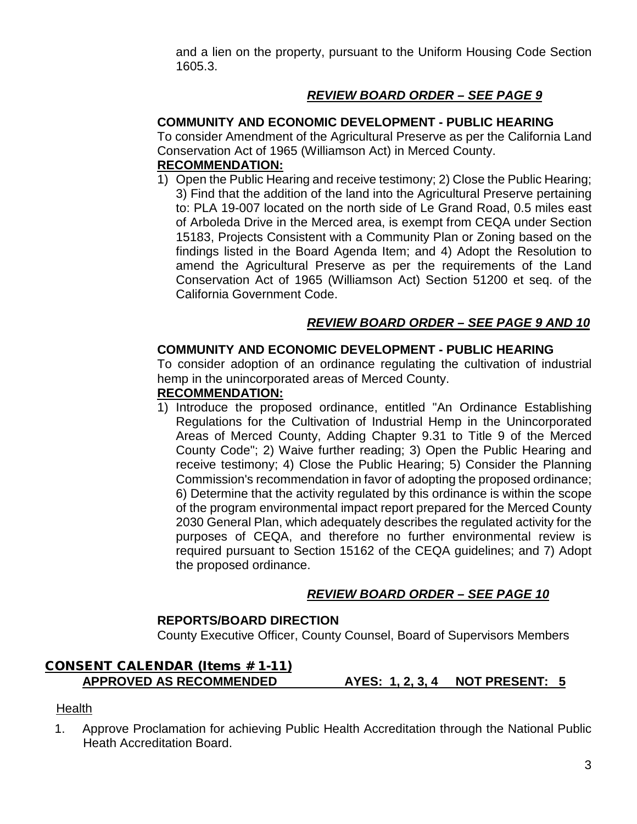and a lien on the property, pursuant to the Uniform Housing Code Section 1605.3.

## *REVIEW BOARD ORDER – SEE PAGE 9*

#### **COMMUNITY AND ECONOMIC DEVELOPMENT - PUBLIC HEARING**

To consider Amendment of the Agricultural Preserve as per the California Land Conservation Act of 1965 (Williamson Act) in Merced County.

## **RECOMMENDATION:**

1) Open the Public Hearing and receive testimony; 2) Close the Public Hearing; 3) Find that the addition of the land into the Agricultural Preserve pertaining to: PLA 19-007 located on the north side of Le Grand Road, 0.5 miles east of Arboleda Drive in the Merced area, is exempt from CEQA under Section 15183, Projects Consistent with a Community Plan or Zoning based on the findings listed in the Board Agenda Item; and 4) Adopt the Resolution to amend the Agricultural Preserve as per the requirements of the Land Conservation Act of 1965 (Williamson Act) Section 51200 et seq. of the California Government Code.

## *REVIEW BOARD ORDER – SEE PAGE 9 AND 10*

#### **COMMUNITY AND ECONOMIC DEVELOPMENT - PUBLIC HEARING**

To consider adoption of an ordinance regulating the cultivation of industrial hemp in the unincorporated areas of Merced County.

#### **RECOMMENDATION:**

1) Introduce the proposed ordinance, entitled "An Ordinance Establishing Regulations for the Cultivation of Industrial Hemp in the Unincorporated Areas of Merced County, Adding Chapter 9.31 to Title 9 of the Merced County Code"; 2) Waive further reading; 3) Open the Public Hearing and receive testimony; 4) Close the Public Hearing; 5) Consider the Planning Commission's recommendation in favor of adopting the proposed ordinance; 6) Determine that the activity regulated by this ordinance is within the scope of the program environmental impact report prepared for the Merced County 2030 General Plan, which adequately describes the regulated activity for the purposes of CEQA, and therefore no further environmental review is required pursuant to Section 15162 of the CEQA guidelines; and 7) Adopt the proposed ordinance.

## *REVIEW BOARD ORDER – SEE PAGE 10*

## **REPORTS/BOARD DIRECTION**

County Executive Officer, County Counsel, Board of Supervisors Members

# CONSENT CALENDAR (Items # 1-11)

**APPROVED AS RECOMMENDED AYES: 1, 2, 3, 4 NOT PRESENT: 5**

#### **Health**

1. Approve Proclamation for achieving Public Health Accreditation through the National Public Heath Accreditation Board.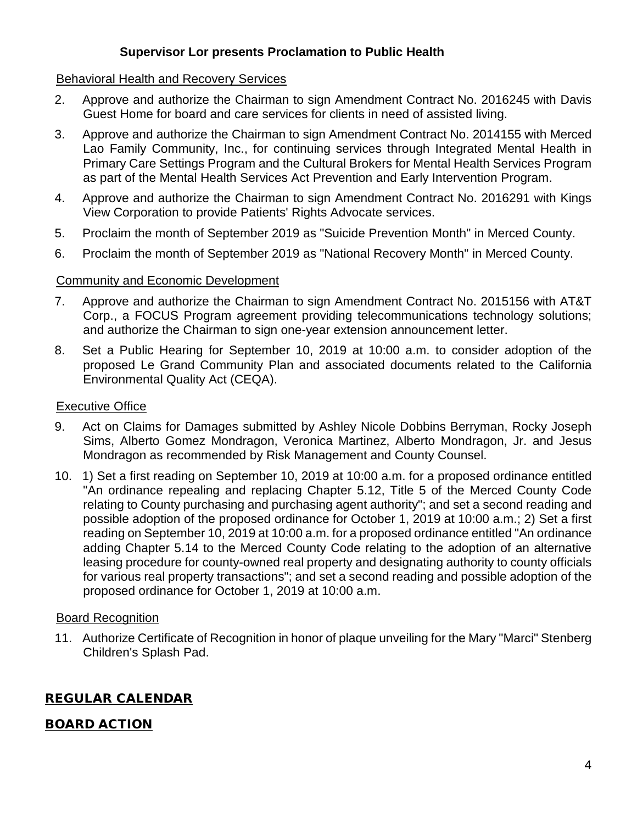## **Supervisor Lor presents Proclamation to Public Health**

#### Behavioral Health and Recovery Services

- 2. Approve and authorize the Chairman to sign Amendment Contract No. 2016245 with Davis Guest Home for board and care services for clients in need of assisted living.
- 3. Approve and authorize the Chairman to sign Amendment Contract No. 2014155 with Merced Lao Family Community, Inc., for continuing services through Integrated Mental Health in Primary Care Settings Program and the Cultural Brokers for Mental Health Services Program as part of the Mental Health Services Act Prevention and Early Intervention Program.
- 4. Approve and authorize the Chairman to sign Amendment Contract No. 2016291 with Kings View Corporation to provide Patients' Rights Advocate services.
- 5. Proclaim the month of September 2019 as "Suicide Prevention Month" in Merced County.
- 6. Proclaim the month of September 2019 as "National Recovery Month" in Merced County.

#### Community and Economic Development

- 7. Approve and authorize the Chairman to sign Amendment Contract No. 2015156 with AT&T Corp., a FOCUS Program agreement providing telecommunications technology solutions; and authorize the Chairman to sign one-year extension announcement letter.
- 8. Set a Public Hearing for September 10, 2019 at 10:00 a.m. to consider adoption of the proposed Le Grand Community Plan and associated documents related to the California Environmental Quality Act (CEQA).

#### Executive Office

- 9. Act on Claims for Damages submitted by Ashley Nicole Dobbins Berryman, Rocky Joseph Sims, Alberto Gomez Mondragon, Veronica Martinez, Alberto Mondragon, Jr. and Jesus Mondragon as recommended by Risk Management and County Counsel.
- 10. 1) Set a first reading on September 10, 2019 at 10:00 a.m. for a proposed ordinance entitled "An ordinance repealing and replacing Chapter 5.12, Title 5 of the Merced County Code relating to County purchasing and purchasing agent authority"; and set a second reading and possible adoption of the proposed ordinance for October 1, 2019 at 10:00 a.m.; 2) Set a first reading on September 10, 2019 at 10:00 a.m. for a proposed ordinance entitled "An ordinance adding Chapter 5.14 to the Merced County Code relating to the adoption of an alternative leasing procedure for county-owned real property and designating authority to county officials for various real property transactions"; and set a second reading and possible adoption of the proposed ordinance for October 1, 2019 at 10:00 a.m.

#### Board Recognition

11. Authorize Certificate of Recognition in honor of plaque unveiling for the Mary "Marci" Stenberg Children's Splash Pad.

## REGULAR CALENDAR

## BOARD ACTION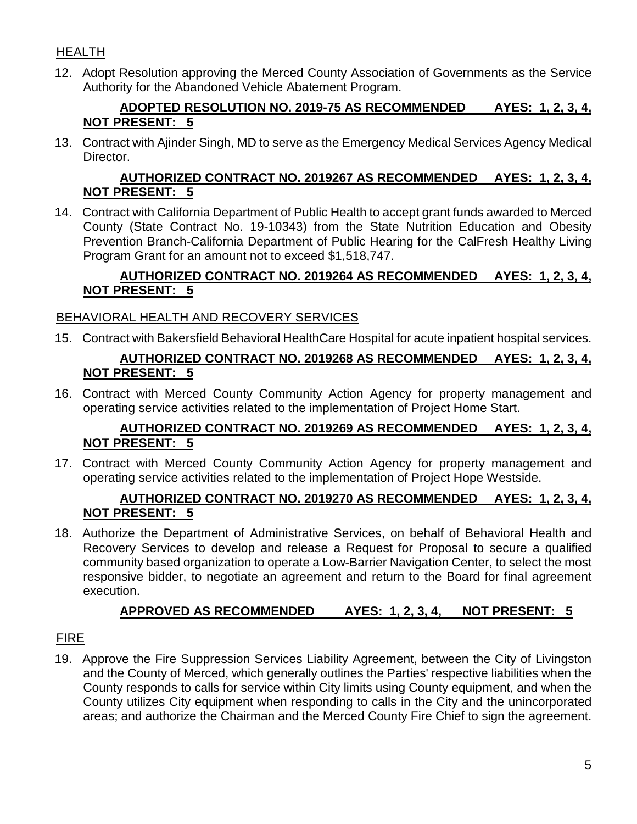## HEALTH

12. Adopt Resolution approving the Merced County Association of Governments as the Service Authority for the Abandoned Vehicle Abatement Program.

## **ADOPTED RESOLUTION NO. 2019-75 AS RECOMMENDED AYES: 1, 2, 3, 4, NOT PRESENT: 5**

13. Contract with Ajinder Singh, MD to serve as the Emergency Medical Services Agency Medical Director.

## **AUTHORIZED CONTRACT NO. 2019267 AS RECOMMENDED AYES: 1, 2, 3, 4, NOT PRESENT: 5**

14. Contract with California Department of Public Health to accept grant funds awarded to Merced County (State Contract No. 19-10343) from the State Nutrition Education and Obesity Prevention Branch-California Department of Public Hearing for the CalFresh Healthy Living Program Grant for an amount not to exceed \$1,518,747.

## **AUTHORIZED CONTRACT NO. 2019264 AS RECOMMENDED AYES: 1, 2, 3, 4, NOT PRESENT: 5**

## BEHAVIORAL HEALTH AND RECOVERY SERVICES

15. Contract with Bakersfield Behavioral HealthCare Hospital for acute inpatient hospital services.

## **AUTHORIZED CONTRACT NO. 2019268 AS RECOMMENDED AYES: 1, 2, 3, 4, NOT PRESENT: 5**

16. Contract with Merced County Community Action Agency for property management and operating service activities related to the implementation of Project Home Start.

## **AUTHORIZED CONTRACT NO. 2019269 AS RECOMMENDED AYES: 1, 2, 3, 4, NOT PRESENT: 5**

17. Contract with Merced County Community Action Agency for property management and operating service activities related to the implementation of Project Hope Westside.

## **AUTHORIZED CONTRACT NO. 2019270 AS RECOMMENDED AYES: 1, 2, 3, 4, NOT PRESENT: 5**

18. Authorize the Department of Administrative Services, on behalf of Behavioral Health and Recovery Services to develop and release a Request for Proposal to secure a qualified community based organization to operate a Low-Barrier Navigation Center, to select the most responsive bidder, to negotiate an agreement and return to the Board for final agreement execution.

## **APPROVED AS RECOMMENDED AYES: 1, 2, 3, 4, NOT PRESENT: 5**

## FIRE

19. Approve the Fire Suppression Services Liability Agreement, between the City of Livingston and the County of Merced, which generally outlines the Parties' respective liabilities when the County responds to calls for service within City limits using County equipment, and when the County utilizes City equipment when responding to calls in the City and the unincorporated areas; and authorize the Chairman and the Merced County Fire Chief to sign the agreement.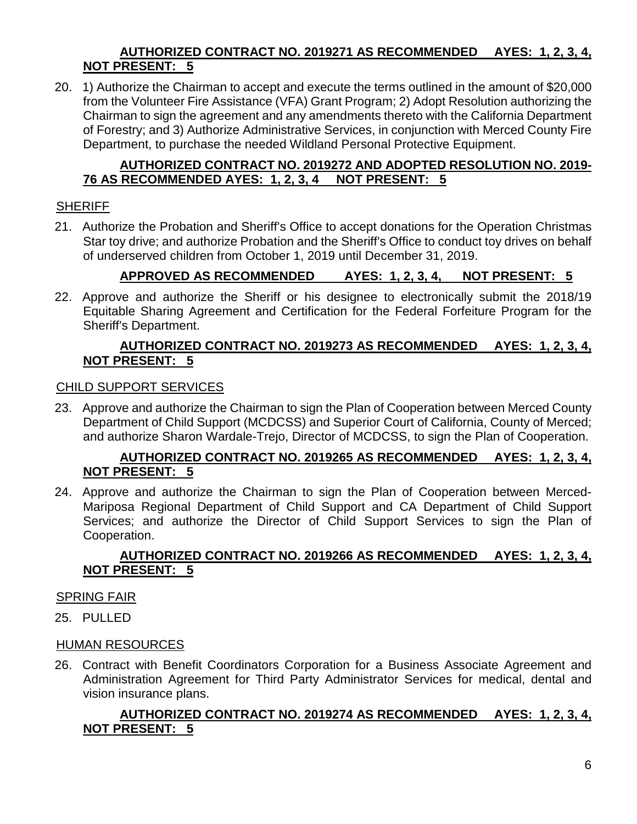## **AUTHORIZED CONTRACT NO. 2019271 AS RECOMMENDED AYES: 1, 2, 3, 4, NOT PRESENT: 5**

20. 1) Authorize the Chairman to accept and execute the terms outlined in the amount of \$20,000 from the Volunteer Fire Assistance (VFA) Grant Program; 2) Adopt Resolution authorizing the Chairman to sign the agreement and any amendments thereto with the California Department of Forestry; and 3) Authorize Administrative Services, in conjunction with Merced County Fire Department, to purchase the needed Wildland Personal Protective Equipment.

## **AUTHORIZED CONTRACT NO. 2019272 AND ADOPTED RESOLUTION NO. 2019- 76 AS RECOMMENDED AYES: 1, 2, 3, 4 NOT PRESENT: 5**

#### SHERIFF

21. Authorize the Probation and Sheriff's Office to accept donations for the Operation Christmas Star toy drive; and authorize Probation and the Sheriff's Office to conduct toy drives on behalf of underserved children from October 1, 2019 until December 31, 2019.

## **APPROVED AS RECOMMENDED AYES: 1, 2, 3, 4, NOT PRESENT: 5**

22. Approve and authorize the Sheriff or his designee to electronically submit the 2018/19 Equitable Sharing Agreement and Certification for the Federal Forfeiture Program for the Sheriff's Department.

#### **AUTHORIZED CONTRACT NO. 2019273 AS RECOMMENDED AYES: 1, 2, 3, 4, NOT PRESENT: 5**

#### CHILD SUPPORT SERVICES

23. Approve and authorize the Chairman to sign the Plan of Cooperation between Merced County Department of Child Support (MCDCSS) and Superior Court of California, County of Merced; and authorize Sharon Wardale-Trejo, Director of MCDCSS, to sign the Plan of Cooperation.

#### **AUTHORIZED CONTRACT NO. 2019265 AS RECOMMENDED AYES: 1, 2, 3, 4, NOT PRESENT: 5**

24. Approve and authorize the Chairman to sign the Plan of Cooperation between Merced-Mariposa Regional Department of Child Support and CA Department of Child Support Services; and authorize the Director of Child Support Services to sign the Plan of Cooperation.

#### **AUTHORIZED CONTRACT NO. 2019266 AS RECOMMENDED AYES: 1, 2, 3, 4, NOT PRESENT: 5**

#### SPRING FAIR

25. PULLED

#### HUMAN RESOURCES

26. Contract with Benefit Coordinators Corporation for a Business Associate Agreement and Administration Agreement for Third Party Administrator Services for medical, dental and vision insurance plans.

## **AUTHORIZED CONTRACT NO. 2019274 AS RECOMMENDED AYES: 1, 2, 3, 4, NOT PRESENT: 5**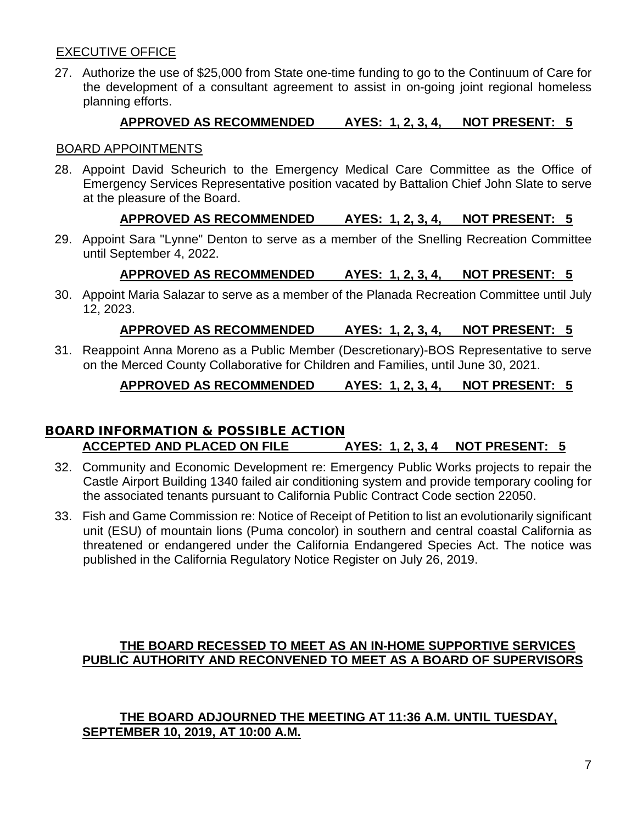## EXECUTIVE OFFICE

27. Authorize the use of \$25,000 from State one-time funding to go to the Continuum of Care for the development of a consultant agreement to assist in on-going joint regional homeless planning efforts.

#### **APPROVED AS RECOMMENDED AYES: 1, 2, 3, 4, NOT PRESENT: 5**

#### BOARD APPOINTMENTS

28. Appoint David Scheurich to the Emergency Medical Care Committee as the Office of Emergency Services Representative position vacated by Battalion Chief John Slate to serve at the pleasure of the Board.

#### **APPROVED AS RECOMMENDED AYES: 1, 2, 3, 4, NOT PRESENT: 5**

29. Appoint Sara "Lynne" Denton to serve as a member of the Snelling Recreation Committee until September 4, 2022.

## **APPROVED AS RECOMMENDED AYES: 1, 2, 3, 4, NOT PRESENT: 5**

30. Appoint Maria Salazar to serve as a member of the Planada Recreation Committee until July 12, 2023.

#### **APPROVED AS RECOMMENDED AYES: 1, 2, 3, 4, NOT PRESENT: 5**

31. Reappoint Anna Moreno as a Public Member (Descretionary)-BOS Representative to serve on the Merced County Collaborative for Children and Families, until June 30, 2021.

#### **APPROVED AS RECOMMENDED AYES: 1, 2, 3, 4, NOT PRESENT: 5**

## BOARD INFORMATION & POSSIBLE ACTION **ACCEPTED AND PLACED ON FILE AYES: 1, 2, 3, 4 NOT PRESENT: 5**

- 32. Community and Economic Development re: Emergency Public Works projects to repair the Castle Airport Building 1340 failed air conditioning system and provide temporary cooling for the associated tenants pursuant to California Public Contract Code section 22050.
- 33. Fish and Game Commission re: Notice of Receipt of Petition to list an evolutionarily significant unit (ESU) of mountain lions (Puma concolor) in southern and central coastal California as threatened or endangered under the California Endangered Species Act. The notice was published in the California Regulatory Notice Register on July 26, 2019.

#### **THE BOARD RECESSED TO MEET AS AN IN-HOME SUPPORTIVE SERVICES PUBLIC AUTHORITY AND RECONVENED TO MEET AS A BOARD OF SUPERVISORS**

#### **THE BOARD ADJOURNED THE MEETING AT 11:36 A.M. UNTIL TUESDAY, SEPTEMBER 10, 2019, AT 10:00 A.M.**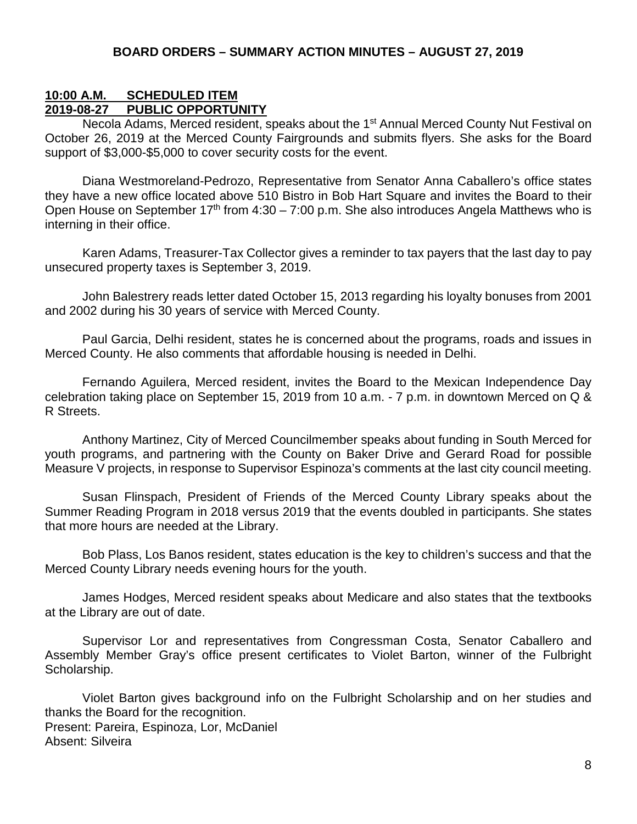#### **10:00 A.M. SCHEDULED ITEM 2019-08-27 PUBLIC OPPORTUNITY**

Necola Adams, Merced resident, speaks about the 1<sup>st</sup> Annual Merced County Nut Festival on October 26, 2019 at the Merced County Fairgrounds and submits flyers. She asks for the Board support of \$3,000-\$5,000 to cover security costs for the event.

Diana Westmoreland-Pedrozo, Representative from Senator Anna Caballero's office states they have a new office located above 510 Bistro in Bob Hart Square and invites the Board to their Open House on September  $17<sup>th</sup>$  from  $4:30 - 7:00$  p.m. She also introduces Angela Matthews who is interning in their office.

Karen Adams, Treasurer-Tax Collector gives a reminder to tax payers that the last day to pay unsecured property taxes is September 3, 2019.

John Balestrery reads letter dated October 15, 2013 regarding his loyalty bonuses from 2001 and 2002 during his 30 years of service with Merced County.

Paul Garcia, Delhi resident, states he is concerned about the programs, roads and issues in Merced County. He also comments that affordable housing is needed in Delhi.

Fernando Aguilera, Merced resident, invites the Board to the Mexican Independence Day celebration taking place on September 15, 2019 from 10 a.m. - 7 p.m. in downtown Merced on Q & R Streets.

Anthony Martinez, City of Merced Councilmember speaks about funding in South Merced for youth programs, and partnering with the County on Baker Drive and Gerard Road for possible Measure V projects, in response to Supervisor Espinoza's comments at the last city council meeting.

Susan Flinspach, President of Friends of the Merced County Library speaks about the Summer Reading Program in 2018 versus 2019 that the events doubled in participants. She states that more hours are needed at the Library.

Bob Plass, Los Banos resident, states education is the key to children's success and that the Merced County Library needs evening hours for the youth.

James Hodges, Merced resident speaks about Medicare and also states that the textbooks at the Library are out of date.

Supervisor Lor and representatives from Congressman Costa, Senator Caballero and Assembly Member Gray's office present certificates to Violet Barton, winner of the Fulbright Scholarship.

Violet Barton gives background info on the Fulbright Scholarship and on her studies and thanks the Board for the recognition. Present: Pareira, Espinoza, Lor, McDaniel Absent: Silveira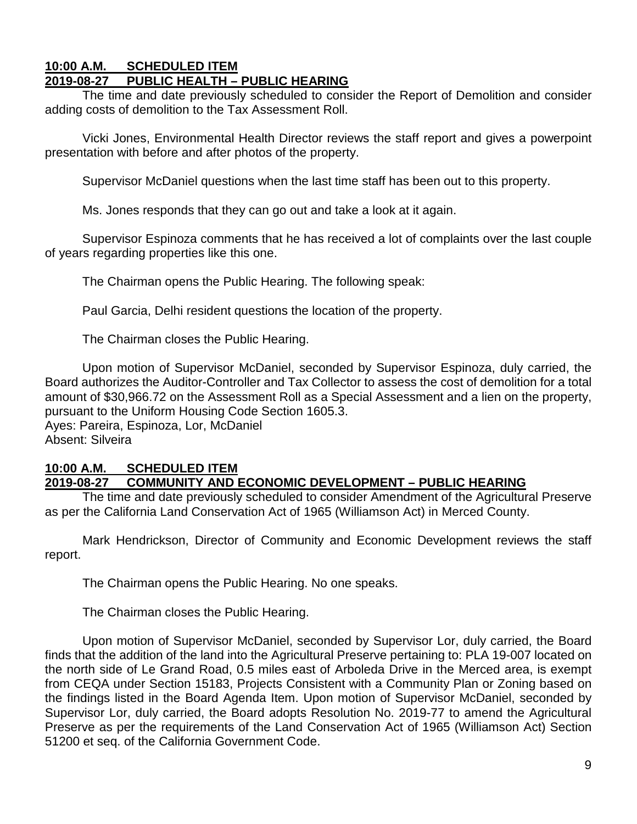#### **10:00 A.M. SCHEDULED ITEM 2019-08-27 PUBLIC HEALTH – PUBLIC HEARING**

The time and date previously scheduled to consider the Report of Demolition and consider adding costs of demolition to the Tax Assessment Roll.

Vicki Jones, Environmental Health Director reviews the staff report and gives a powerpoint presentation with before and after photos of the property.

Supervisor McDaniel questions when the last time staff has been out to this property.

Ms. Jones responds that they can go out and take a look at it again.

Supervisor Espinoza comments that he has received a lot of complaints over the last couple of years regarding properties like this one.

The Chairman opens the Public Hearing. The following speak:

Paul Garcia, Delhi resident questions the location of the property.

The Chairman closes the Public Hearing.

Upon motion of Supervisor McDaniel, seconded by Supervisor Espinoza, duly carried, the Board authorizes the Auditor-Controller and Tax Collector to assess the cost of demolition for a total amount of \$30,966.72 on the Assessment Roll as a Special Assessment and a lien on the property, pursuant to the Uniform Housing Code Section 1605.3.

Ayes: Pareira, Espinoza, Lor, McDaniel Absent: Silveira

#### **10:00 A.M. SCHEDULED ITEM 2019-08-27 COMMUNITY AND ECONOMIC DEVELOPMENT – PUBLIC HEARING**

The time and date previously scheduled to consider Amendment of the Agricultural Preserve as per the California Land Conservation Act of 1965 (Williamson Act) in Merced County.

Mark Hendrickson, Director of Community and Economic Development reviews the staff report.

The Chairman opens the Public Hearing. No one speaks.

The Chairman closes the Public Hearing.

Upon motion of Supervisor McDaniel, seconded by Supervisor Lor, duly carried, the Board finds that the addition of the land into the Agricultural Preserve pertaining to: PLA 19-007 located on the north side of Le Grand Road, 0.5 miles east of Arboleda Drive in the Merced area, is exempt from CEQA under Section 15183, Projects Consistent with a Community Plan or Zoning based on the findings listed in the Board Agenda Item. Upon motion of Supervisor McDaniel, seconded by Supervisor Lor, duly carried, the Board adopts Resolution No. 2019-77 to amend the Agricultural Preserve as per the requirements of the Land Conservation Act of 1965 (Williamson Act) Section 51200 et seq. of the California Government Code.